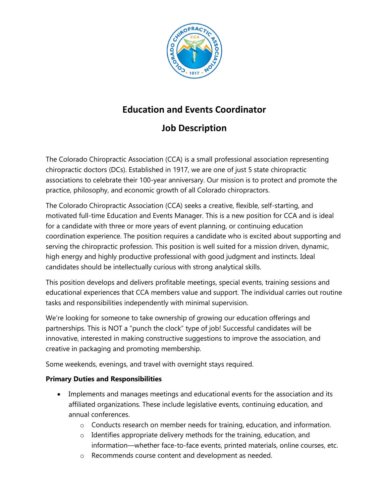

# **Education and Events Coordinator**

## **Job Description**

The Colorado Chiropractic Association (CCA) is a small professional association representing chiropractic doctors (DCs). Established in 1917, we are one of just 5 state chiropractic associations to celebrate their 100-year anniversary. Our mission is to protect and promote the practice, philosophy, and economic growth of all Colorado chiropractors.

The Colorado Chiropractic Association (CCA) seeks a creative, flexible, self-starting, and motivated full-time Education and Events Manager. This is a new position for CCA and is ideal for a candidate with three or more years of event planning, or continuing education coordination experience. The position requires a candidate who is excited about supporting and serving the chiropractic profession. This position is well suited for a mission driven, dynamic, high energy and highly productive professional with good judgment and instincts. Ideal candidates should be intellectually curious with strong analytical skills.

This position develops and delivers profitable meetings, special events, training sessions and educational experiences that CCA members value and support. The individual carries out routine tasks and responsibilities independently with minimal supervision.

We're looking for someone to take ownership of growing our education offerings and partnerships. This is NOT a "punch the clock" type of job! Successful candidates will be innovative, interested in making constructive suggestions to improve the association, and creative in packaging and promoting membership.

Some weekends, evenings, and travel with overnight stays required.

### **Primary Duties and Responsibilities**

- Implements and manages meetings and educational events for the association and its affiliated organizations. These include legislative events, continuing education, and annual conferences.
	- $\circ$  Conducts research on member needs for training, education, and information.
	- $\circ$  Identifies appropriate delivery methods for the training, education, and information—whether face-to-face events, printed materials, online courses, etc.
	- o Recommends course content and development as needed.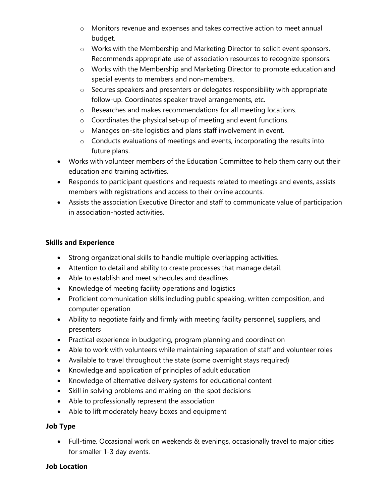- o Monitors revenue and expenses and takes corrective action to meet annual budget.
- o Works with the Membership and Marketing Director to solicit event sponsors. Recommends appropriate use of association resources to recognize sponsors.
- o Works with the Membership and Marketing Director to promote education and special events to members and non-members.
- o Secures speakers and presenters or delegates responsibility with appropriate follow-up. Coordinates speaker travel arrangements, etc.
- o Researches and makes recommendations for all meeting locations.
- $\circ$  Coordinates the physical set-up of meeting and event functions.
- o Manages on-site logistics and plans staff involvement in event.
- o Conducts evaluations of meetings and events, incorporating the results into future plans.
- Works with volunteer members of the Education Committee to help them carry out their education and training activities.
- Responds to participant questions and requests related to meetings and events, assists members with registrations and access to their online accounts.
- Assists the association Executive Director and staff to communicate value of participation in association-hosted activities.

#### **Skills and Experience**

- Strong organizational skills to handle multiple overlapping activities.
- Attention to detail and ability to create processes that manage detail.
- Able to establish and meet schedules and deadlines
- Knowledge of meeting facility operations and logistics
- Proficient communication skills including public speaking, written composition, and computer operation
- Ability to negotiate fairly and firmly with meeting facility personnel, suppliers, and presenters
- Practical experience in budgeting, program planning and coordination
- Able to work with volunteers while maintaining separation of staff and volunteer roles
- Available to travel throughout the state (some overnight stays required)
- Knowledge and application of principles of adult education
- Knowledge of alternative delivery systems for educational content
- Skill in solving problems and making on-the-spot decisions
- Able to professionally represent the association
- Able to lift moderately heavy boxes and equipment

#### **Job Type**

• Full-time. Occasional work on weekends & evenings, occasionally travel to major cities for smaller 1-3 day events.

#### **Job Location**